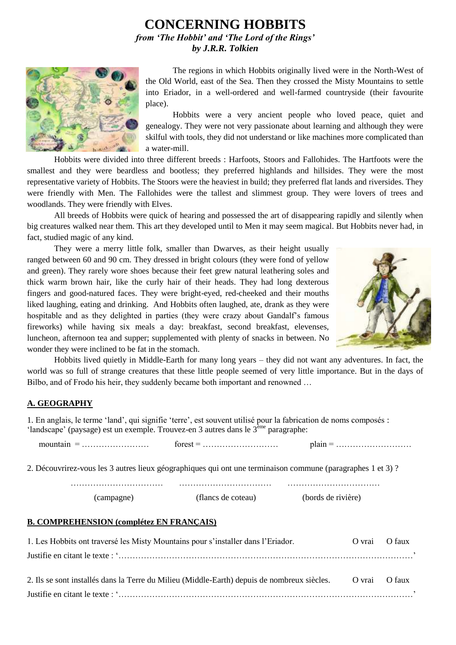# **CONCERNING HOBBITS** *from 'The Hobbit' and 'The Lord of the Rings' by J.R.R. Tolkien*



The regions in which Hobbits originally lived were in the North-West of the Old World, east of the Sea. Then they crossed the Misty Mountains to settle into Eriador, in a well-ordered and well-farmed countryside (their favourite place).

Hobbits were a very ancient people who loved peace, quiet and genealogy. They were not very passionate about learning and although they were skilful with tools, they did not understand or like machines more complicated than a water-mill.

Hobbits were divided into three different breeds : Harfoots, Stoors and Fallohides. The Hartfoots were the smallest and they were beardless and bootless; they preferred highlands and hillsides. They were the most representative variety of Hobbits. The Stoors were the heaviest in build; they preferred flat lands and riversides. They were friendly with Men. The Fallohides were the tallest and slimmest group. They were lovers of trees and woodlands. They were friendly with Elves.

All breeds of Hobbits were quick of hearing and possessed the art of disappearing rapidly and silently when big creatures walked near them. This art they developed until to Men it may seem magical. But Hobbits never had, in fact, studied magic of any kind.

They were a merry little folk, smaller than Dwarves, as their height usually ranged between 60 and 90 cm. They dressed in bright colours (they were fond of yellow and green). They rarely wore shoes because their feet grew natural leathering soles and thick warm brown hair, like the curly hair of their heads. They had long dexterous fingers and good-natured faces. They were bright-eyed, red-cheeked and their mouths liked laughing, eating and drinking. And Hobbits often laughed, ate, drank as they were hospitable and as they delighted in parties (they were crazy about Gandalf's famous fireworks) while having six meals a day: breakfast, second breakfast, elevenses, luncheon, afternoon tea and supper; supplemented with plenty of snacks in between. No wonder they were inclined to be fat in the stomach.



Hobbits lived quietly in Middle-Earth for many long years – they did not want any adventures. In fact, the world was so full of strange creatures that these little people seemed of very little importance. But in the days of Bilbo, and of Frodo his heir, they suddenly became both important and renowned …

### **A. GEOGRAPHY**

1. En anglais, le terme 'land', qui signifie 'terre', est souvent utilisé pour la fabrication de noms composés : 'landscape' (paysage) est un exemple. Trouvez-en 3 autres dans le 3ème paragraphe:

mountain = …………………… forest = ……………………… plain = ………………………

2. Découvrirez-vous les 3 autres lieux géographiques qui ont une terminaison commune (paragraphes 1 et 3) ?

…………………………… …………………………… …………………………… (campagne) (flancs de coteau) (bords de rivière)

#### **B. COMPREHENSION (complétez EN FRANÇAIS)**

| 1. Les Hobbits ont traversé les Misty Mountains pour s'installer dans l'Eriador.                          | O vrai O faux |                          |
|-----------------------------------------------------------------------------------------------------------|---------------|--------------------------|
|                                                                                                           |               |                          |
| 2. Ils se sont installés dans la Terre du Milieu (Middle-Earth) depuis de nombreux siècles. O vrai O faux |               |                          |
|                                                                                                           |               | $\overline{\phantom{a}}$ |